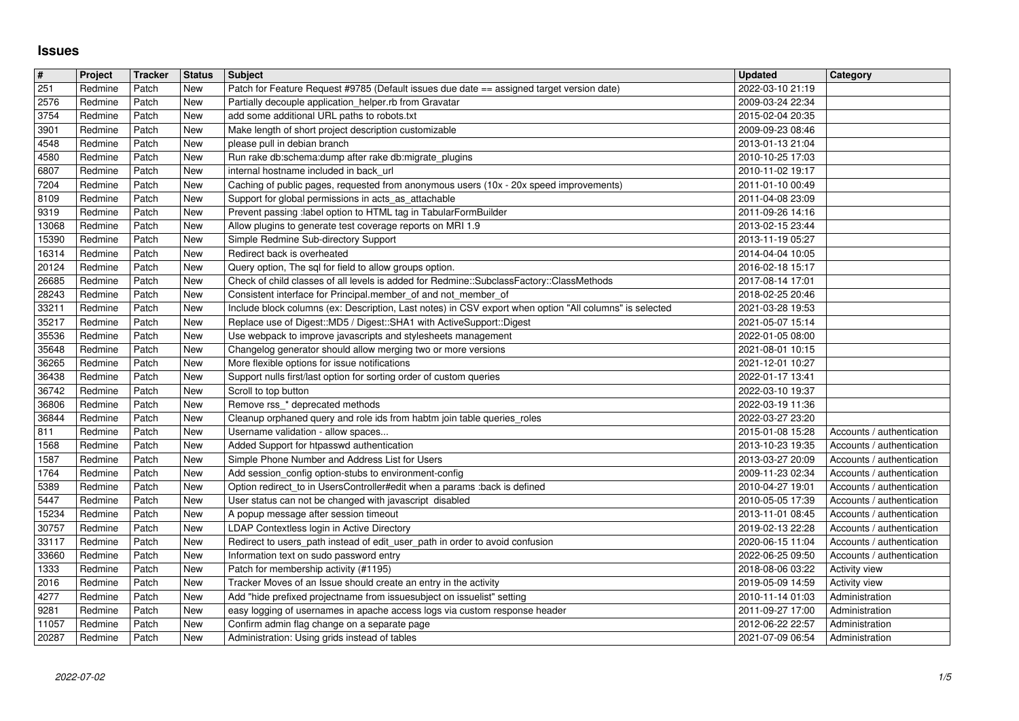## **Issues**

| $\sqrt{\frac{4}{15}}$ | Project            | Tracker        | <b>Status</b> | Subject                                                                                                                                                    | <b>Updated</b>                       | Category                                               |
|-----------------------|--------------------|----------------|---------------|------------------------------------------------------------------------------------------------------------------------------------------------------------|--------------------------------------|--------------------------------------------------------|
| $\sqrt{251}$<br>2576  | Redmine<br>Redmine | Patch<br>Patch | New<br>New    | Patch for Feature Request #9785 (Default issues due date == assigned target version date)<br>Partially decouple application_helper.rb from Gravatar        | 2022-03-10 21:19<br>2009-03-24 22:34 |                                                        |
| 3754                  | Redmine            | Patch          | New           | add some additional URL paths to robots.txt                                                                                                                | 2015-02-04 20:35                     |                                                        |
| 3901<br>4548          | Redmine<br>Redmine | Patch<br>Patch | New<br>New    | Make length of short project description customizable<br>please pull in debian branch                                                                      | 2009-09-23 08:46<br>2013-01-13 21:04 |                                                        |
| 4580                  | Redmine            | Patch          | New           | Run rake db:schema:dump after rake db:migrate_plugins                                                                                                      | 2010-10-25 17:03                     |                                                        |
| 6807                  | Redmine            | Patch          | New           | internal hostname included in back_url                                                                                                                     | 2010-11-02 19:17                     |                                                        |
| 7204<br>8109          | Redmine<br>Redmine | Patch<br>Patch | New<br>New    | Caching of public pages, requested from anonymous users (10x - 20x speed improvements)<br>Support for global permissions in acts_as_attachable             | 2011-01-10 00:49<br>2011-04-08 23:09 |                                                        |
| 9319                  | Redmine            | Patch          | New           | Prevent passing :label option to HTML tag in TabularFormBuilder                                                                                            | 2011-09-26 14:16                     |                                                        |
| 13068                 | Redmine<br>Redmine | Patch<br>Patch | New<br>New    | Allow plugins to generate test coverage reports on MRI 1.9<br>Simple Redmine Sub-directory Support                                                         | 2013-02-15 23:44<br>2013-11-19 05:27 |                                                        |
| 15390<br>16314        | Redmine            | Patch          | New           | Redirect back is overheated                                                                                                                                | 2014-04-04 10:05                     |                                                        |
| 20124                 | Redmine            | Patch          | New           | Query option, The sql for field to allow groups option.                                                                                                    | 2016-02-18 15:17                     |                                                        |
| 26685<br>28243        | Redmine<br>Redmine | Patch<br>Patch | New<br>New    | Check of child classes of all levels is added for Redmine::SubclassFactory::ClassMethods<br>Consistent interface for Principal.member_of and not_member_of | 2017-08-14 17:01<br>2018-02-25 20:46 |                                                        |
| 33211                 | Redmine            | Patch          | New           | Include block columns (ex: Description, Last notes) in CSV export when option "All columns" is selected                                                    | 2021-03-28 19:53                     |                                                        |
| 35217                 | Redmine            | Patch          | New           | Replace use of Digest::MD5 / Digest::SHA1 with ActiveSupport::Digest                                                                                       | 2021-05-07 15:14                     |                                                        |
| 35536<br>35648        | Redmine<br>Redmine | Patch<br>Patch | New<br>New    | Use webpack to improve javascripts and stylesheets management<br>Changelog generator should allow merging two or more versions                             | 2022-01-05 08:00<br>2021-08-01 10:15 |                                                        |
| 36265                 | Redmine            | Patch          | New           | More flexible options for issue notifications                                                                                                              | 2021-12-01 10:27                     |                                                        |
| 36438<br>36742        | Redmine<br>Redmine | Patch<br>Patch | New<br>New    | Support nulls first/last option for sorting order of custom queries<br>Scroll to top button                                                                | 2022-01-17 13:41<br>2022-03-10 19:37 |                                                        |
| 36806                 | Redmine            | Patch          | New           | Remove rss_* deprecated methods                                                                                                                            | 2022-03-19 11:36                     |                                                        |
| 36844                 | Redmine            | Patch          | New           | Cleanup orphaned query and role ids from habtm join table queries roles                                                                                    | 2022-03-27 23:20                     |                                                        |
| 811]<br>1568          | Redmine<br>Redmine | Patch<br>Patch | New<br>New    | Username validation - allow spaces<br>Added Support for htpasswd authentication                                                                            | 2015-01-08 15:28<br>2013-10-23 19:35 | Accounts / authentication<br>Accounts / authentication |
| 1587                  | Redmine            | Patch          | New           | Simple Phone Number and Address List for Users                                                                                                             | 2013-03-27 20:09                     | Accounts / authentication                              |
| 1764                  | Redmine            | Patch          | New           | Add session_config option-stubs to environment-config                                                                                                      | 2009-11-23 02:34                     | Accounts / authentication                              |
| 5389<br>5447          | Redmine<br>Redmine | Patch<br>Patch | New<br>New    | Option redirect_to in UsersController#edit when a params :back is defined<br>User status can not be changed with javascript disabled                       | 2010-04-27 19:01<br>2010-05-05 17:39 | Accounts / authentication<br>Accounts / authentication |
| 15234                 | Redmine            | Patch          | New           | A popup message after session timeout                                                                                                                      | 2013-11-01 08:45                     | Accounts / authentication                              |
| 30757                 | Redmine            | Patch          | New           | LDAP Contextless login in Active Directory                                                                                                                 | 2019-02-13 22:28                     | Accounts / authentication                              |
| 33117<br>33660        | Redmine<br>Redmine | Patch<br>Patch | New<br>New    | Redirect to users_path instead of edit_user_path in order to avoid confusion<br>Information text on sudo password entry                                    | 2020-06-15 11:04<br>2022-06-25 09:50 | Accounts / authentication<br>Accounts / authentication |
| 1333                  | Redmine            | Patch          | New           | Patch for membership activity (#1195)                                                                                                                      | 2018-08-06 03:22                     | <b>Activity view</b>                                   |
| 2016                  | Redmine            | Patch          | New           | Tracker Moves of an Issue should create an entry in the activity                                                                                           | 2019-05-09 14:59                     | <b>Activity view</b>                                   |
| 4277<br>9281          | Redmine<br>Redmine | Patch<br>Patch | New<br>New    | Add "hide prefixed projectname from issuesubject on issuelist" setting<br>easy logging of usernames in apache access logs via custom response header       | 2010-11-14 01:03<br>2011-09-27 17:00 | Administration<br>Administration                       |
| 11057                 | Redmine            | Patch          | New           | Confirm admin flag change on a separate page                                                                                                               | 2012-06-22 22:57                     | Administration                                         |
|                       |                    |                |               |                                                                                                                                                            |                                      |                                                        |
|                       |                    |                |               |                                                                                                                                                            |                                      |                                                        |
|                       |                    |                |               |                                                                                                                                                            |                                      |                                                        |
|                       |                    |                |               |                                                                                                                                                            |                                      |                                                        |
|                       |                    |                |               |                                                                                                                                                            |                                      |                                                        |
|                       |                    |                |               |                                                                                                                                                            |                                      |                                                        |
|                       |                    |                |               |                                                                                                                                                            |                                      |                                                        |
|                       |                    |                |               |                                                                                                                                                            |                                      |                                                        |
|                       |                    |                |               |                                                                                                                                                            |                                      |                                                        |
|                       |                    |                |               |                                                                                                                                                            |                                      |                                                        |
|                       |                    |                |               |                                                                                                                                                            |                                      |                                                        |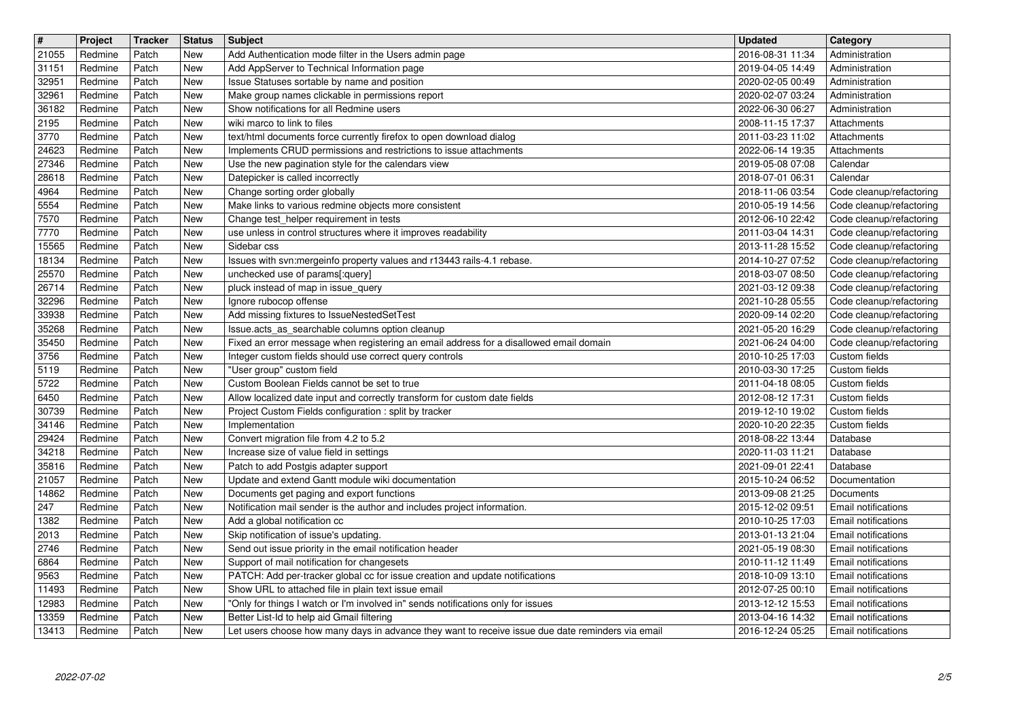| <b>New</b><br>21055<br>Redmine<br>Patch<br>Add Authentication mode filter in the Users admin page<br>Patch<br>New<br>31151<br>Redmine<br>Add AppServer to Technical Information page<br>32951<br>Redmine<br>Patch<br>Issue Statuses sortable by name and position<br>New<br>32961<br>Make group names clickable in permissions report<br>Redmine<br>Patch<br>New<br>Show notifications for all Redmine users<br>36182<br>Patch<br>New<br>Redmine<br>2195<br>Patch<br>wiki marco to link to files<br>Redmine<br>New<br>3770<br>Patch<br>Redmine<br>New<br>text/html documents force currently firefox to open download dialog<br>24623<br>Implements CRUD permissions and restrictions to issue attachments<br>Redmine<br>Patch<br>New<br>27346<br>Use the new pagination style for the calendars view<br>Redmine<br>Patch<br>New<br>Datepicker is called incorrectly<br>28618<br>Redmine<br>Patch<br>New<br>Patch<br>Change sorting order globally<br>4964<br>Redmine<br>New<br>5554<br>Patch<br>Make links to various redmine objects more consistent<br>Redmine<br>New<br>7570<br>Redmine<br>Patch<br>New<br>Change test_helper requirement in tests<br>7770<br>New<br>use unless in control structures where it improves readability<br>Redmine<br>Patch<br>15565<br>Redmine<br>Patch<br>New<br>Sidebar css<br>18134<br>Issues with svn:mergeinfo property values and r13443 rails-4.1 rebase.<br>Redmine<br>Patch<br>New<br>25570<br>unchecked use of params[:query]<br>Redmine<br>Patch<br>New<br>pluck instead of map in issue_query<br>26714<br>Redmine<br>Patch<br>New<br>32296<br>Ignore rubocop offense<br>Redmine<br>Patch<br>New<br>33938<br>Patch<br>Add missing fixtures to IssueNestedSetTest<br>Redmine<br>New<br>35268<br>Patch<br>Issue.acts_as_searchable columns option cleanup<br>Redmine<br>New<br>35450<br>Fixed an error message when registering an email address for a disallowed email domain<br>Redmine<br>Patch<br>New<br>3756<br>New<br>Integer custom fields should use correct query controls<br>Redmine<br>Patch | 2016-08-31 11:34<br>2019-04-05 14:49<br>2020-02-05 00:49<br>2020-02-07 03:24<br>2022-06-30 06:27<br>2008-11-15 17:37<br>2011-03-23 11:02<br>2022-06-14 19:35<br>2019-05-08 07:08<br>2018-07-01 06:31<br>2018-11-06 03:54<br>2010-05-19 14:56<br>2012-06-10 22:42<br>2011-03-04 14:31<br>2013-11-28 15:52<br>2014-10-27 07:52<br>2018-03-07 08:50 | Administration<br>Administration<br>Administration<br>Administration<br>Administration<br>Attachments<br>Attachments<br>Attachments<br>Calendar<br>Calendar<br>Code cleanup/refactoring<br>Code cleanup/refactoring<br>Code cleanup/refactoring<br>Code cleanup/refactoring<br>Code cleanup/refactoring |
|---------------------------------------------------------------------------------------------------------------------------------------------------------------------------------------------------------------------------------------------------------------------------------------------------------------------------------------------------------------------------------------------------------------------------------------------------------------------------------------------------------------------------------------------------------------------------------------------------------------------------------------------------------------------------------------------------------------------------------------------------------------------------------------------------------------------------------------------------------------------------------------------------------------------------------------------------------------------------------------------------------------------------------------------------------------------------------------------------------------------------------------------------------------------------------------------------------------------------------------------------------------------------------------------------------------------------------------------------------------------------------------------------------------------------------------------------------------------------------------------------------------------------------------------------------------------------------------------------------------------------------------------------------------------------------------------------------------------------------------------------------------------------------------------------------------------------------------------------------------------------------------------------------------------------------------------------------------------------------------------------------------------------------------------------|--------------------------------------------------------------------------------------------------------------------------------------------------------------------------------------------------------------------------------------------------------------------------------------------------------------------------------------------------|---------------------------------------------------------------------------------------------------------------------------------------------------------------------------------------------------------------------------------------------------------------------------------------------------------|
|                                                                                                                                                                                                                                                                                                                                                                                                                                                                                                                                                                                                                                                                                                                                                                                                                                                                                                                                                                                                                                                                                                                                                                                                                                                                                                                                                                                                                                                                                                                                                                                                                                                                                                                                                                                                                                                                                                                                                                                                                                                   |                                                                                                                                                                                                                                                                                                                                                  |                                                                                                                                                                                                                                                                                                         |
|                                                                                                                                                                                                                                                                                                                                                                                                                                                                                                                                                                                                                                                                                                                                                                                                                                                                                                                                                                                                                                                                                                                                                                                                                                                                                                                                                                                                                                                                                                                                                                                                                                                                                                                                                                                                                                                                                                                                                                                                                                                   |                                                                                                                                                                                                                                                                                                                                                  |                                                                                                                                                                                                                                                                                                         |
|                                                                                                                                                                                                                                                                                                                                                                                                                                                                                                                                                                                                                                                                                                                                                                                                                                                                                                                                                                                                                                                                                                                                                                                                                                                                                                                                                                                                                                                                                                                                                                                                                                                                                                                                                                                                                                                                                                                                                                                                                                                   |                                                                                                                                                                                                                                                                                                                                                  |                                                                                                                                                                                                                                                                                                         |
|                                                                                                                                                                                                                                                                                                                                                                                                                                                                                                                                                                                                                                                                                                                                                                                                                                                                                                                                                                                                                                                                                                                                                                                                                                                                                                                                                                                                                                                                                                                                                                                                                                                                                                                                                                                                                                                                                                                                                                                                                                                   |                                                                                                                                                                                                                                                                                                                                                  |                                                                                                                                                                                                                                                                                                         |
|                                                                                                                                                                                                                                                                                                                                                                                                                                                                                                                                                                                                                                                                                                                                                                                                                                                                                                                                                                                                                                                                                                                                                                                                                                                                                                                                                                                                                                                                                                                                                                                                                                                                                                                                                                                                                                                                                                                                                                                                                                                   |                                                                                                                                                                                                                                                                                                                                                  |                                                                                                                                                                                                                                                                                                         |
|                                                                                                                                                                                                                                                                                                                                                                                                                                                                                                                                                                                                                                                                                                                                                                                                                                                                                                                                                                                                                                                                                                                                                                                                                                                                                                                                                                                                                                                                                                                                                                                                                                                                                                                                                                                                                                                                                                                                                                                                                                                   |                                                                                                                                                                                                                                                                                                                                                  |                                                                                                                                                                                                                                                                                                         |
|                                                                                                                                                                                                                                                                                                                                                                                                                                                                                                                                                                                                                                                                                                                                                                                                                                                                                                                                                                                                                                                                                                                                                                                                                                                                                                                                                                                                                                                                                                                                                                                                                                                                                                                                                                                                                                                                                                                                                                                                                                                   |                                                                                                                                                                                                                                                                                                                                                  |                                                                                                                                                                                                                                                                                                         |
|                                                                                                                                                                                                                                                                                                                                                                                                                                                                                                                                                                                                                                                                                                                                                                                                                                                                                                                                                                                                                                                                                                                                                                                                                                                                                                                                                                                                                                                                                                                                                                                                                                                                                                                                                                                                                                                                                                                                                                                                                                                   |                                                                                                                                                                                                                                                                                                                                                  |                                                                                                                                                                                                                                                                                                         |
|                                                                                                                                                                                                                                                                                                                                                                                                                                                                                                                                                                                                                                                                                                                                                                                                                                                                                                                                                                                                                                                                                                                                                                                                                                                                                                                                                                                                                                                                                                                                                                                                                                                                                                                                                                                                                                                                                                                                                                                                                                                   |                                                                                                                                                                                                                                                                                                                                                  |                                                                                                                                                                                                                                                                                                         |
|                                                                                                                                                                                                                                                                                                                                                                                                                                                                                                                                                                                                                                                                                                                                                                                                                                                                                                                                                                                                                                                                                                                                                                                                                                                                                                                                                                                                                                                                                                                                                                                                                                                                                                                                                                                                                                                                                                                                                                                                                                                   |                                                                                                                                                                                                                                                                                                                                                  |                                                                                                                                                                                                                                                                                                         |
|                                                                                                                                                                                                                                                                                                                                                                                                                                                                                                                                                                                                                                                                                                                                                                                                                                                                                                                                                                                                                                                                                                                                                                                                                                                                                                                                                                                                                                                                                                                                                                                                                                                                                                                                                                                                                                                                                                                                                                                                                                                   |                                                                                                                                                                                                                                                                                                                                                  | Code cleanup/refactoring                                                                                                                                                                                                                                                                                |
|                                                                                                                                                                                                                                                                                                                                                                                                                                                                                                                                                                                                                                                                                                                                                                                                                                                                                                                                                                                                                                                                                                                                                                                                                                                                                                                                                                                                                                                                                                                                                                                                                                                                                                                                                                                                                                                                                                                                                                                                                                                   | 2021-03-12 09:38                                                                                                                                                                                                                                                                                                                                 | Code cleanup/refactoring<br>Code cleanup/refactoring                                                                                                                                                                                                                                                    |
|                                                                                                                                                                                                                                                                                                                                                                                                                                                                                                                                                                                                                                                                                                                                                                                                                                                                                                                                                                                                                                                                                                                                                                                                                                                                                                                                                                                                                                                                                                                                                                                                                                                                                                                                                                                                                                                                                                                                                                                                                                                   | 2021-10-28 05:55                                                                                                                                                                                                                                                                                                                                 | Code cleanup/refactoring                                                                                                                                                                                                                                                                                |
|                                                                                                                                                                                                                                                                                                                                                                                                                                                                                                                                                                                                                                                                                                                                                                                                                                                                                                                                                                                                                                                                                                                                                                                                                                                                                                                                                                                                                                                                                                                                                                                                                                                                                                                                                                                                                                                                                                                                                                                                                                                   | 2020-09-14 02:20<br>2021-05-20 16:29                                                                                                                                                                                                                                                                                                             | Code cleanup/refactoring<br>Code cleanup/refactoring                                                                                                                                                                                                                                                    |
|                                                                                                                                                                                                                                                                                                                                                                                                                                                                                                                                                                                                                                                                                                                                                                                                                                                                                                                                                                                                                                                                                                                                                                                                                                                                                                                                                                                                                                                                                                                                                                                                                                                                                                                                                                                                                                                                                                                                                                                                                                                   | 2021-06-24 04:00                                                                                                                                                                                                                                                                                                                                 | Code cleanup/refactoring                                                                                                                                                                                                                                                                                |
| 5119<br>Patch<br>"User group" custom field<br>Redmine<br>New                                                                                                                                                                                                                                                                                                                                                                                                                                                                                                                                                                                                                                                                                                                                                                                                                                                                                                                                                                                                                                                                                                                                                                                                                                                                                                                                                                                                                                                                                                                                                                                                                                                                                                                                                                                                                                                                                                                                                                                      | 2010-10-25 17:03<br>2010-03-30 17:25                                                                                                                                                                                                                                                                                                             | Custom fields<br>Custom fields                                                                                                                                                                                                                                                                          |
| 5722<br>Custom Boolean Fields cannot be set to true<br>Redmine<br>Patch<br>New                                                                                                                                                                                                                                                                                                                                                                                                                                                                                                                                                                                                                                                                                                                                                                                                                                                                                                                                                                                                                                                                                                                                                                                                                                                                                                                                                                                                                                                                                                                                                                                                                                                                                                                                                                                                                                                                                                                                                                    | 2011-04-18 08:05                                                                                                                                                                                                                                                                                                                                 | Custom fields                                                                                                                                                                                                                                                                                           |
| 6450<br>Allow localized date input and correctly transform for custom date fields<br>Redmine<br>Patch<br>New<br>30739<br>Redmine<br>Patch<br><b>New</b><br>Project Custom Fields configuration : split by tracker                                                                                                                                                                                                                                                                                                                                                                                                                                                                                                                                                                                                                                                                                                                                                                                                                                                                                                                                                                                                                                                                                                                                                                                                                                                                                                                                                                                                                                                                                                                                                                                                                                                                                                                                                                                                                                 | 2012-08-12 17:31<br>2019-12-10 19:02                                                                                                                                                                                                                                                                                                             | Custom fields<br>Custom fields                                                                                                                                                                                                                                                                          |
| 34146<br>Implementation<br>Redmine<br>Patch<br>New                                                                                                                                                                                                                                                                                                                                                                                                                                                                                                                                                                                                                                                                                                                                                                                                                                                                                                                                                                                                                                                                                                                                                                                                                                                                                                                                                                                                                                                                                                                                                                                                                                                                                                                                                                                                                                                                                                                                                                                                | 2020-10-20 22:35                                                                                                                                                                                                                                                                                                                                 | Custom fields                                                                                                                                                                                                                                                                                           |
| 29424<br>Redmine<br>Patch<br>New<br>Convert migration file from 4.2 to 5.2<br>Increase size of value field in settings<br>34218<br>Patch<br>Redmine<br>New                                                                                                                                                                                                                                                                                                                                                                                                                                                                                                                                                                                                                                                                                                                                                                                                                                                                                                                                                                                                                                                                                                                                                                                                                                                                                                                                                                                                                                                                                                                                                                                                                                                                                                                                                                                                                                                                                        | 2018-08-22 13:44<br>2020-11-03 11:21                                                                                                                                                                                                                                                                                                             | Database<br>Database                                                                                                                                                                                                                                                                                    |
| 35816<br>Patch to add Postgis adapter support<br>Redmine<br>Patch<br>New                                                                                                                                                                                                                                                                                                                                                                                                                                                                                                                                                                                                                                                                                                                                                                                                                                                                                                                                                                                                                                                                                                                                                                                                                                                                                                                                                                                                                                                                                                                                                                                                                                                                                                                                                                                                                                                                                                                                                                          | 2021-09-01 22:41                                                                                                                                                                                                                                                                                                                                 | Database                                                                                                                                                                                                                                                                                                |
| Update and extend Gantt module wiki documentation<br>21057<br>New<br>Redmine<br>Patch<br>14862<br>Redmine<br>Patch<br>New                                                                                                                                                                                                                                                                                                                                                                                                                                                                                                                                                                                                                                                                                                                                                                                                                                                                                                                                                                                                                                                                                                                                                                                                                                                                                                                                                                                                                                                                                                                                                                                                                                                                                                                                                                                                                                                                                                                         | 2015-10-24 06:52<br>2013-09-08 21:25                                                                                                                                                                                                                                                                                                             | Documentation                                                                                                                                                                                                                                                                                           |
| Documents get paging and export functions<br>247<br>Notification mail sender is the author and includes project information.<br>Redmine<br>Patch<br>New                                                                                                                                                                                                                                                                                                                                                                                                                                                                                                                                                                                                                                                                                                                                                                                                                                                                                                                                                                                                                                                                                                                                                                                                                                                                                                                                                                                                                                                                                                                                                                                                                                                                                                                                                                                                                                                                                           | 2015-12-02 09:51                                                                                                                                                                                                                                                                                                                                 | Documents<br>Email notifications                                                                                                                                                                                                                                                                        |
| 1382<br>Add a global notification cc<br>Redmine<br>Patch<br>New                                                                                                                                                                                                                                                                                                                                                                                                                                                                                                                                                                                                                                                                                                                                                                                                                                                                                                                                                                                                                                                                                                                                                                                                                                                                                                                                                                                                                                                                                                                                                                                                                                                                                                                                                                                                                                                                                                                                                                                   | 2010-10-25 17:03                                                                                                                                                                                                                                                                                                                                 | Email notifications                                                                                                                                                                                                                                                                                     |
| Skip notification of issue's updating.<br>2013<br>Redmine<br>Patch<br>New<br>2746<br>Send out issue priority in the email notification header<br>Redmine<br>Patch<br>New                                                                                                                                                                                                                                                                                                                                                                                                                                                                                                                                                                                                                                                                                                                                                                                                                                                                                                                                                                                                                                                                                                                                                                                                                                                                                                                                                                                                                                                                                                                                                                                                                                                                                                                                                                                                                                                                          | 2013-01-13 21:04<br>2021-05-19 08:30                                                                                                                                                                                                                                                                                                             | Email notifications<br>Email notifications                                                                                                                                                                                                                                                              |
| 6864<br>Redmine<br>Patch<br>New<br>Support of mail notification for changesets                                                                                                                                                                                                                                                                                                                                                                                                                                                                                                                                                                                                                                                                                                                                                                                                                                                                                                                                                                                                                                                                                                                                                                                                                                                                                                                                                                                                                                                                                                                                                                                                                                                                                                                                                                                                                                                                                                                                                                    | 2010-11-12 11:49                                                                                                                                                                                                                                                                                                                                 | Email notifications                                                                                                                                                                                                                                                                                     |
| 9563<br>PATCH: Add per-tracker global cc for issue creation and update notifications<br>Redmine<br>Patch<br>New<br>11493<br>Redmine<br>Patch<br>New<br>Show URL to attached file in plain text issue email                                                                                                                                                                                                                                                                                                                                                                                                                                                                                                                                                                                                                                                                                                                                                                                                                                                                                                                                                                                                                                                                                                                                                                                                                                                                                                                                                                                                                                                                                                                                                                                                                                                                                                                                                                                                                                        | 2018-10-09 13:10<br>2012-07-25 00:10                                                                                                                                                                                                                                                                                                             | <b>Email notifications</b><br>Email notifications                                                                                                                                                                                                                                                       |
| "Only for things I watch or I'm involved in" sends notifications only for issues<br>12983<br>Patch<br>New<br>Redmine                                                                                                                                                                                                                                                                                                                                                                                                                                                                                                                                                                                                                                                                                                                                                                                                                                                                                                                                                                                                                                                                                                                                                                                                                                                                                                                                                                                                                                                                                                                                                                                                                                                                                                                                                                                                                                                                                                                              | 2013-12-12 15:53                                                                                                                                                                                                                                                                                                                                 | Email notifications                                                                                                                                                                                                                                                                                     |
| Better List-Id to help aid Gmail filtering<br>13359<br>Patch<br>New<br>Redmine<br>13413<br>New<br>Let users choose how many days in advance they want to receive issue due date reminders via email<br>Redmine<br>Patch                                                                                                                                                                                                                                                                                                                                                                                                                                                                                                                                                                                                                                                                                                                                                                                                                                                                                                                                                                                                                                                                                                                                                                                                                                                                                                                                                                                                                                                                                                                                                                                                                                                                                                                                                                                                                           | 2013-04-16 14:32<br>2016-12-24 05:25                                                                                                                                                                                                                                                                                                             | Email notifications<br>Email notifications                                                                                                                                                                                                                                                              |
|                                                                                                                                                                                                                                                                                                                                                                                                                                                                                                                                                                                                                                                                                                                                                                                                                                                                                                                                                                                                                                                                                                                                                                                                                                                                                                                                                                                                                                                                                                                                                                                                                                                                                                                                                                                                                                                                                                                                                                                                                                                   |                                                                                                                                                                                                                                                                                                                                                  |                                                                                                                                                                                                                                                                                                         |
|                                                                                                                                                                                                                                                                                                                                                                                                                                                                                                                                                                                                                                                                                                                                                                                                                                                                                                                                                                                                                                                                                                                                                                                                                                                                                                                                                                                                                                                                                                                                                                                                                                                                                                                                                                                                                                                                                                                                                                                                                                                   |                                                                                                                                                                                                                                                                                                                                                  |                                                                                                                                                                                                                                                                                                         |
|                                                                                                                                                                                                                                                                                                                                                                                                                                                                                                                                                                                                                                                                                                                                                                                                                                                                                                                                                                                                                                                                                                                                                                                                                                                                                                                                                                                                                                                                                                                                                                                                                                                                                                                                                                                                                                                                                                                                                                                                                                                   |                                                                                                                                                                                                                                                                                                                                                  |                                                                                                                                                                                                                                                                                                         |
|                                                                                                                                                                                                                                                                                                                                                                                                                                                                                                                                                                                                                                                                                                                                                                                                                                                                                                                                                                                                                                                                                                                                                                                                                                                                                                                                                                                                                                                                                                                                                                                                                                                                                                                                                                                                                                                                                                                                                                                                                                                   |                                                                                                                                                                                                                                                                                                                                                  |                                                                                                                                                                                                                                                                                                         |
|                                                                                                                                                                                                                                                                                                                                                                                                                                                                                                                                                                                                                                                                                                                                                                                                                                                                                                                                                                                                                                                                                                                                                                                                                                                                                                                                                                                                                                                                                                                                                                                                                                                                                                                                                                                                                                                                                                                                                                                                                                                   |                                                                                                                                                                                                                                                                                                                                                  |                                                                                                                                                                                                                                                                                                         |
|                                                                                                                                                                                                                                                                                                                                                                                                                                                                                                                                                                                                                                                                                                                                                                                                                                                                                                                                                                                                                                                                                                                                                                                                                                                                                                                                                                                                                                                                                                                                                                                                                                                                                                                                                                                                                                                                                                                                                                                                                                                   |                                                                                                                                                                                                                                                                                                                                                  |                                                                                                                                                                                                                                                                                                         |
|                                                                                                                                                                                                                                                                                                                                                                                                                                                                                                                                                                                                                                                                                                                                                                                                                                                                                                                                                                                                                                                                                                                                                                                                                                                                                                                                                                                                                                                                                                                                                                                                                                                                                                                                                                                                                                                                                                                                                                                                                                                   |                                                                                                                                                                                                                                                                                                                                                  |                                                                                                                                                                                                                                                                                                         |
|                                                                                                                                                                                                                                                                                                                                                                                                                                                                                                                                                                                                                                                                                                                                                                                                                                                                                                                                                                                                                                                                                                                                                                                                                                                                                                                                                                                                                                                                                                                                                                                                                                                                                                                                                                                                                                                                                                                                                                                                                                                   |                                                                                                                                                                                                                                                                                                                                                  |                                                                                                                                                                                                                                                                                                         |
|                                                                                                                                                                                                                                                                                                                                                                                                                                                                                                                                                                                                                                                                                                                                                                                                                                                                                                                                                                                                                                                                                                                                                                                                                                                                                                                                                                                                                                                                                                                                                                                                                                                                                                                                                                                                                                                                                                                                                                                                                                                   |                                                                                                                                                                                                                                                                                                                                                  |                                                                                                                                                                                                                                                                                                         |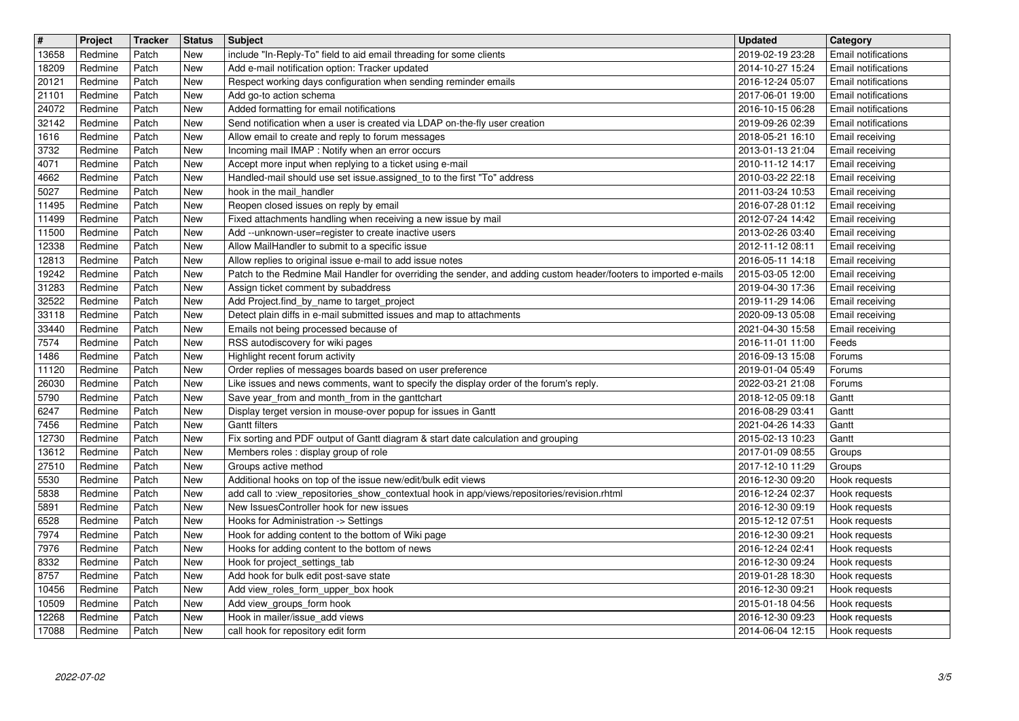| $\overline{\mathbf{H}}$ | Project            | Tracker        | <b>Status</b>            | <b>Subject</b>                                                                                                                                      | <b>Updated</b>                       | Category                                                 |
|-------------------------|--------------------|----------------|--------------------------|-----------------------------------------------------------------------------------------------------------------------------------------------------|--------------------------------------|----------------------------------------------------------|
| 13658<br>18209          | Redmine<br>Redmine | Patch<br>Patch | New<br>New               | include "In-Reply-To" field to aid email threading for some clients<br>Add e-mail notification option: Tracker updated                              | 2019-02-19 23:28<br>2014-10-27 15:24 | <b>Email notifications</b><br><b>Email notifications</b> |
| 20121<br>21101          | Redmine<br>Redmine | Patch<br>Patch | New<br><b>New</b>        | Respect working days configuration when sending reminder emails<br>Add go-to action schema                                                          | 2016-12-24 05:07<br>2017-06-01 19:00 | <b>Email notifications</b><br><b>Email notifications</b> |
| 24072                   | Redmine            | Patch          | <b>New</b>               | Added formatting for email notifications                                                                                                            | 2016-10-15 06:28                     | <b>Email notifications</b>                               |
| 32142<br>1616           | Redmine<br>Redmine | Patch<br>Patch | <b>New</b><br><b>New</b> | Send notification when a user is created via LDAP on-the-fly user creation<br>Allow email to create and reply to forum messages                     | 2019-09-26 02:39<br>2018-05-21 16:10 | <b>Email notifications</b><br>Email receiving            |
| 3732                    | Redmine            | Patch          | New                      | Incoming mail IMAP : Notify when an error occurs                                                                                                    | 2013-01-13 21:04                     | Email receiving                                          |
| 4071<br>4662            | Redmine<br>Redmine | Patch<br>Patch | <b>New</b><br><b>New</b> | Accept more input when replying to a ticket using e-mail<br>Handled-mail should use set issue assigned to to the first "To" address                 | 2010-11-12 14:17<br>2010-03-22 22:18 | Email receiving<br>Email receiving                       |
| 5027                    | Redmine            | Patch          | <b>New</b>               | hook in the mail_handler                                                                                                                            | 2011-03-24 10:53                     | Email receiving                                          |
| 11495<br>11499          | Redmine<br>Redmine | Patch<br>Patch | <b>New</b><br><b>New</b> | Reopen closed issues on reply by email<br>Fixed attachments handling when receiving a new issue by mail                                             | 2016-07-28 01:12<br>2012-07-24 14:42 | Email receiving<br>Email receiving                       |
| 11500                   | Redmine            | Patch          | New                      | Add --unknown-user=register to create inactive users                                                                                                | 2013-02-26 03:40                     | Email receiving                                          |
| 12338<br>12813          | Redmine<br>Redmine | Patch<br>Patch | New<br>New               | Allow MailHandler to submit to a specific issue<br>Allow replies to original issue e-mail to add issue notes                                        | 2012-11-12 08:11<br>2016-05-11 14:18 | Email receiving<br>Email receiving                       |
| 19242                   | Redmine            | Patch          | New                      | Patch to the Redmine Mail Handler for overriding the sender, and adding custom header/footers to imported e-mails                                   | 2015-03-05 12:00                     | Email receiving                                          |
| 31283<br>32522          | Redmine<br>Redmine | Patch<br>Patch | New<br><b>New</b>        | Assign ticket comment by subaddress<br>Add Project.find_by_name to target_project                                                                   | 2019-04-30 17:36<br>2019-11-29 14:06 | Email receiving<br>Email receiving                       |
| 33118                   | Redmine            | Patch          | New                      | Detect plain diffs in e-mail submitted issues and map to attachments                                                                                | 2020-09-13 05:08                     | Email receiving                                          |
| 33440<br>7574           | Redmine<br>Redmine | Patch<br>Patch | New<br>New               | Emails not being processed because of<br>RSS autodiscovery for wiki pages                                                                           | 2021-04-30 15:58<br>2016-11-01 11:00 | Email receiving<br>Feeds                                 |
| 1486                    | Redmine            | Patch          | New                      | Highlight recent forum activity                                                                                                                     | 2016-09-13 15:08                     | Forums                                                   |
| 11120<br>26030          | Redmine<br>Redmine | Patch<br>Patch | <b>New</b><br><b>New</b> | Order replies of messages boards based on user preference<br>Like issues and news comments, want to specify the display order of the forum's reply. | 2019-01-04 05:49<br>2022-03-21 21:08 | Forums<br>Forums                                         |
| 5790                    | Redmine            | Patch          | <b>New</b>               | Save year_from and month_from in the ganttchart                                                                                                     | 2018-12-05 09:18                     | Gantt                                                    |
| 6247<br>7456            | Redmine<br>Redmine | Patch<br>Patch | New<br><b>New</b>        | Display terget version in mouse-over popup for issues in Gantt<br><b>Gantt filters</b>                                                              | 2016-08-29 03:41<br>2021-04-26 14:33 | Gantt<br>Gantt                                           |
| 12730                   | Redmine            | Patch          | <b>New</b>               | Fix sorting and PDF output of Gantt diagram & start date calculation and grouping                                                                   | 2015-02-13 10:23                     | Gantt                                                    |
| 13612<br>27510          | Redmine<br>Redmine | Patch<br>Patch | New<br>New               | Members roles : display group of role<br>Groups active method                                                                                       | 2017-01-09 08:55<br>2017-12-10 11:29 | Groups<br>Groups                                         |
| 5530                    | Redmine            | Patch          | New                      | Additional hooks on top of the issue new/edit/bulk edit views                                                                                       | 2016-12-30 09:20                     | Hook requests                                            |
| 5838<br>5891            | Redmine<br>Redmine | Patch<br>Patch | <b>New</b><br><b>New</b> | add call to :view_repositories_show_contextual hook in app/views/repositories/revision.rhtml<br>New IssuesController hook for new issues            | 2016-12-24 02:37<br>2016-12-30 09:19 | Hook requests<br>Hook requests                           |
| 6528                    | Redmine            | Patch          | <b>New</b>               | Hooks for Administration -> Settings                                                                                                                | 2015-12-12 07:51                     | Hook requests                                            |
| 7974<br>7976            | Redmine<br>Redmine | Patch<br>Patch | New<br><b>New</b>        | Hook for adding content to the bottom of Wiki page<br>Hooks for adding content to the bottom of news                                                | 2016-12-30 09:21<br>2016-12-24 02:41 | Hook requests<br>Hook requests                           |
| 8332<br>8757            | Redmine<br>Redmine | Patch          | New<br>New               | Hook for project_settings_tab                                                                                                                       | 2016-12-30 09:24                     | Hook requests                                            |
| 10456                   | Redmine            | Patch<br>Patch | New                      | Add hook for bulk edit post-save state<br>Add view_roles_form_upper_box hook                                                                        | 2019-01-28 18:30<br>2016-12-30 09:21 | Hook requests<br>Hook requests                           |
| 10509<br>12268          | Redmine<br>Redmine | Patch<br>Patch | <b>New</b><br><b>New</b> | Add view_groups_form hook<br>Hook in mailer/issue_add views                                                                                         | 2015-01-18 04:56<br>2016-12-30 09:23 | Hook requests<br>Hook requests                           |
| 17088                   | Redmine            | Patch          | New                      | call hook for repository edit form                                                                                                                  | 2014-06-04 12:15                     | Hook requests                                            |
|                         |                    |                |                          |                                                                                                                                                     |                                      |                                                          |
|                         |                    |                |                          |                                                                                                                                                     |                                      |                                                          |
|                         |                    |                |                          |                                                                                                                                                     |                                      |                                                          |
|                         |                    |                |                          |                                                                                                                                                     |                                      |                                                          |
|                         |                    |                |                          |                                                                                                                                                     |                                      |                                                          |
|                         |                    |                |                          |                                                                                                                                                     |                                      |                                                          |
|                         |                    |                |                          |                                                                                                                                                     |                                      |                                                          |
|                         |                    |                |                          |                                                                                                                                                     |                                      |                                                          |
|                         |                    |                |                          |                                                                                                                                                     |                                      |                                                          |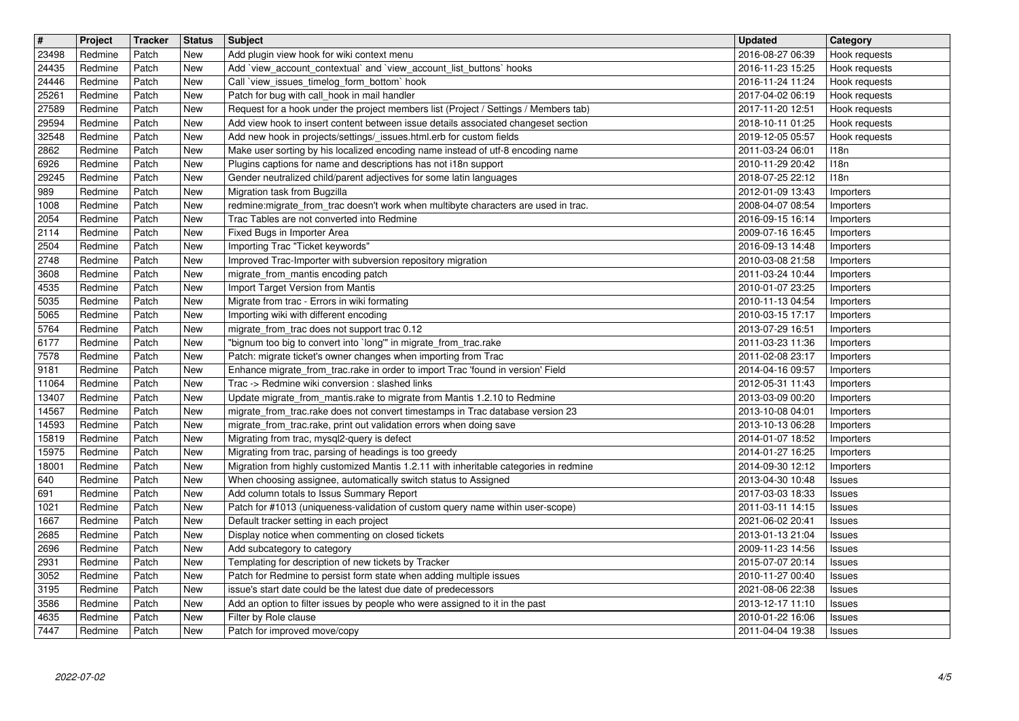| $\overline{\mathbf{H}}$<br>23498 | Project<br>Redmine | Tracker<br>Patch | <b>Status</b><br>New     | <b>Subject</b><br>Add plugin view hook for wiki context menu                                                                                            | <b>Updated</b><br>2016-08-27 06:39   | Category<br>Hook requests      |
|----------------------------------|--------------------|------------------|--------------------------|---------------------------------------------------------------------------------------------------------------------------------------------------------|--------------------------------------|--------------------------------|
| 24435                            | Redmine            | Patch            | New                      | Add 'view_account_contextual' and 'view_account_list_buttons' hooks                                                                                     | 2016-11-23 15:25                     | Hook requests                  |
| 24446<br>25261                   | Redmine<br>Redmine | Patch<br>Patch   | New<br>New               | Call `view_issues_timelog_form_bottom` hook<br>Patch for bug with call hook in mail handler                                                             | 2016-11-24 11:24<br>2017-04-02 06:19 | Hook requests<br>Hook requests |
| 27589                            | Redmine            | Patch            | New                      | Request for a hook under the project members list (Project / Settings / Members tab)                                                                    | 2017-11-20 12:51                     | Hook requests                  |
| 29594<br>32548                   | Redmine            | Patch            | <b>New</b>               | Add view hook to insert content between issue details associated changeset section                                                                      | 2018-10-11 01:25                     | Hook requests                  |
| 2862                             | Redmine<br>Redmine | Patch<br>Patch   | <b>New</b><br>New        | Add new hook in projects/settings/_issues.html.erb for custom fields<br>Make user sorting by his localized encoding name instead of utf-8 encoding name | 2019-12-05 05:57<br>2011-03-24 06:01 | Hook requests<br>118n          |
| 6926                             | Redmine<br>Redmine | Patch            | New                      | Plugins captions for name and descriptions has not i18n support                                                                                         | 2010-11-29 20:42<br>2018-07-25 22:12 | 118n<br>118n                   |
| 29245<br>989                     | Redmine            | Patch<br>Patch   | <b>New</b><br><b>New</b> | Gender neutralized child/parent adjectives for some latin languages<br>Migration task from Bugzilla                                                     | 2012-01-09 13:43                     | Importers                      |
| 1008                             | Redmine            | Patch            | New                      | redmine: migrate_from_trac doesn't work when multibyte characters are used in trac.                                                                     | 2008-04-07 08:54                     | Importers                      |
| 2054<br>2114                     | Redmine<br>Redmine | Patch<br>Patch   | New<br>New               | Trac Tables are not converted into Redmine<br>Fixed Bugs in Importer Area                                                                               | 2016-09-15 16:14<br>2009-07-16 16:45 | Importers<br>Importers         |
| 2504<br>2748                     | Redmine<br>Redmine | Patch<br>Patch   | <b>New</b><br>New        | Importing Trac "Ticket keywords"<br>Improved Trac-Importer with subversion repository migration                                                         | 2016-09-13 14:48<br>2010-03-08 21:58 | Importers<br>Importers         |
| 3608                             | Redmine            | Patch            | New                      | migrate_from_mantis encoding patch                                                                                                                      | 2011-03-24 10:44                     | Importers                      |
| 4535<br>5035                     | Redmine<br>Redmine | Patch<br>Patch   | New<br><b>New</b>        | Import Target Version from Mantis<br>Migrate from trac - Errors in wiki formating                                                                       | 2010-01-07 23:25<br>2010-11-13 04:54 | Importers<br>Importers         |
| 5065                             | Redmine            | Patch            | New                      | Importing wiki with different encoding                                                                                                                  | 2010-03-15 17:17                     | Importers                      |
| 5764<br>6177                     | Redmine<br>Redmine | Patch<br>Patch   | <b>New</b><br>New        | migrate_from_trac does not support trac 0.12<br>"bignum too big to convert into `long'" in migrate_from_trac.rake                                       | 2013-07-29 16:51<br>2011-03-23 11:36 | Importers<br>Importers         |
| 7578                             | Redmine            | Patch            | <b>New</b>               | Patch: migrate ticket's owner changes when importing from Trac                                                                                          | 2011-02-08 23:17                     | Importers                      |
| 9181<br>11064                    | Redmine<br>Redmine | Patch<br>Patch   | <b>New</b><br>New        | Enhance migrate_from_trac.rake in order to import Trac 'found in version' Field<br>Trac -> Redmine wiki conversion : slashed links                      | 2014-04-16 09:57<br>2012-05-31 11:43 | Importers<br>Importers         |
| 13407                            | Redmine            | Patch            | <b>New</b>               | Update migrate_from_mantis.rake to migrate from Mantis 1.2.10 to Redmine                                                                                | 2013-03-09 00:20                     | Importers                      |
| 14567<br>14593                   | Redmine<br>Redmine | Patch<br>Patch   | New<br><b>New</b>        | migrate_from_trac.rake does not convert timestamps in Trac database version 23<br>migrate_from_trac.rake, print out validation errors when doing save   | 2013-10-08 04:01<br>2013-10-13 06:28 | Importers<br>Importers         |
| 15819                            | Redmine            | Patch            | <b>New</b>               | Migrating from trac, mysql2-query is defect                                                                                                             | 2014-01-07 18:52                     | Importers                      |
| 15975<br>18001                   | Redmine<br>Redmine | Patch<br>Patch   | <b>New</b><br>New        | Migrating from trac, parsing of headings is too greedy<br>Migration from highly customized Mantis 1.2.11 with inheritable categories in redmine         | 2014-01-27 16:25<br>2014-09-30 12:12 | Importers<br>Importers         |
| 640                              | Redmine            | Patch            | New                      | When choosing assignee, automatically switch status to Assigned                                                                                         | 2013-04-30 10:48                     | <b>Issues</b>                  |
| 691<br>1021                      | Redmine<br>Redmine | Patch<br>Patch   | <b>New</b><br>New        | Add column totals to Issus Summary Report<br>Patch for #1013 (uniqueness-validation of custom query name within user-scope)                             | 2017-03-03 18:33<br>2011-03-11 14:15 | <b>Issues</b><br>Issues        |
| 1667                             | Redmine            | Patch            | <b>New</b>               | Default tracker setting in each project                                                                                                                 | 2021-06-02 20:41                     | <b>Issues</b>                  |
| 2685<br>2696                     | Redmine<br>Redmine | Patch<br>Patch   | New<br><b>New</b>        | Display notice when commenting on closed tickets<br>Add subcategory to category                                                                         | 2013-01-13 21:04<br>2009-11-23 14:56 | <b>Issues</b><br>Issues        |
| 2931                             | Redmine            | Patch            | New                      | Templating for description of new tickets by Tracker                                                                                                    | 2015-07-07 20:14                     | <b>Issues</b>                  |
| $3052$<br>3195                   | Redmine<br>Redmine | Patch<br>Patch   | New<br>New               | Patch for Redmine to persist form state when adding multiple issues<br>issue's start date could be the latest due date of predecessors                  | 2010-11-27 00:40<br>2021-08-06 22:38 | Issues<br>Issues               |
| 3586                             | Redmine<br>Redmine | Patch            | New                      | Add an option to filter issues by people who were assigned to it in the past<br>Filter by Role clause                                                   | 2013-12-17 11:10                     | Issues                         |
| 4635<br>7447                     | Redmine            | Patch<br>Patch   | <b>New</b><br>New        | Patch for improved move/copy                                                                                                                            | 2010-01-22 16:06<br>2011-04-04 19:38 | <b>Issues</b><br>Issues        |
|                                  |                    |                  |                          |                                                                                                                                                         |                                      |                                |
|                                  |                    |                  |                          |                                                                                                                                                         |                                      |                                |
|                                  |                    |                  |                          |                                                                                                                                                         |                                      |                                |
|                                  |                    |                  |                          |                                                                                                                                                         |                                      |                                |
|                                  |                    |                  |                          |                                                                                                                                                         |                                      |                                |
|                                  |                    |                  |                          |                                                                                                                                                         |                                      |                                |
|                                  |                    |                  |                          |                                                                                                                                                         |                                      |                                |
|                                  |                    |                  |                          |                                                                                                                                                         |                                      |                                |
|                                  |                    |                  |                          |                                                                                                                                                         |                                      |                                |
|                                  |                    |                  |                          |                                                                                                                                                         |                                      |                                |
|                                  |                    |                  |                          |                                                                                                                                                         |                                      |                                |